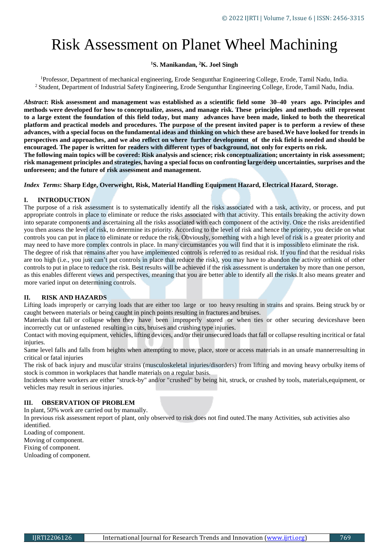# Risk Assessment on Planet Wheel Machining

## **<sup>1</sup>S. Manikandan, <sup>2</sup>K. Joel Singh**

<sup>1</sup>Professor, Department of mechanical engineering, Erode Sengunthar Engineering College, Erode, Tamil Nadu, India. <sup>2</sup> Student, Department of Industrial Safety Engineering, Erode Sengunthar Engineering College, Erode, Tamil Nadu, India.

Abstract: Risk assessment and management was established as a scientific field some 30–40 years ago. Principles and **methods were developed for how to conceptualize, assess, and manage risk. These principles and methods still represent to a large extent the foundation of this field today, but many advances have been made, linked to both the theoretical platform and practical models and procedures. The purpose of the present invited paper is to perform a review of these** advances, with a special focus on the fundamental ideas and thinking on which these are based. We have looked for trends in **perspectives and approaches, and we also reflect on where further development of the risk field is needed and should be encouraged. The paper is written for readers with different types of background, not only for experts on risk.**

**The following main topics will be covered: Risk analysis and science; risk conceptualization; uncertainty in risk assessment; risk management principles and strategies, having a special focus on confronting large/deep uncertainties, surprises and the unforeseen; and the future of risk assessment and management.**

*Index Terms***: Sharp Edge, Overweight, Risk, Material Handling Equipment Hazard, Electrical Hazard, Storage.**

## **I. INTRODUCTION**

The purpose of a risk assessment is to systematically identify all the risks associated with a task, activity, or process, and put appropriate controls in place to eliminate or reduce the risks associated with that activity. This entails breaking the activity down into separate components and ascertaining all the risks associated with each component of the activity. Once the risks areidentified you then assess the level of risk, to determine its priority. According to the level of risk and hence the priority, you decide on what controls you can put in place to eliminate or reduce the risk. Obviously, something with a high level of risk is a greater priority and may need to have more complex controls in place. In many circumstances you will find that it is impossibleto eliminate the risk.

The degree of risk that remains after you have implemented controls is referred to as residual risk. If you find that the residual risks are too high (i.e., you just can't put controls in place that reduce the risk), you may have to abandon the activity orthink of other controls to put in place to reduce the risk. Best results will be achieved if the risk assessment is undertaken by more than one person, as this enables different views and perspectives, meaning that you are better able to identify all the risks.It also means greater and more varied input on determining controls.

## **II. RISK AND HAZARDS**

Lifting loads improperly or carrying loads that are either too large or too heavy resulting in strains and sprains. Being struck by or caught between materials or being caught in pinch points resulting in fractures and bruises.

Materials that fall or collapse when they have been improperly stored or when ties or other securing deviceshave been incorrectly cut or unfastened resulting in cuts, bruises and crushing type injuries.

Contact with moving equipment, vehicles, lifting devices, and/or their unsecured loads that fall or collapse resulting incritical or fatal injuries.

Same level falls and falls from heights when attempting to move, place, store or access materials in an unsafe mannerresulting in critical or fatal injuries

The risk of back injury and muscular strains (musculoskeletal injuries/disorders) from lifting and moving heavy orbulky items of stock is common in workplaces that handle materials on a regular basis.

Incidents where workers are either "struck-by" and/or "crushed" by being hit, struck, or crushed by tools, materials,equipment, or vehicles may result in serious injuries.

# **III. OBSERVATION OF PROBLEM**

In plant, 50% work are carried out by manually.

In previous risk assessment report of plant, only observed to risk does not find outed.The many Activities, sub activities also identified.

Loading of component.

Moving of component.

Fixing of component.

Unloading of component.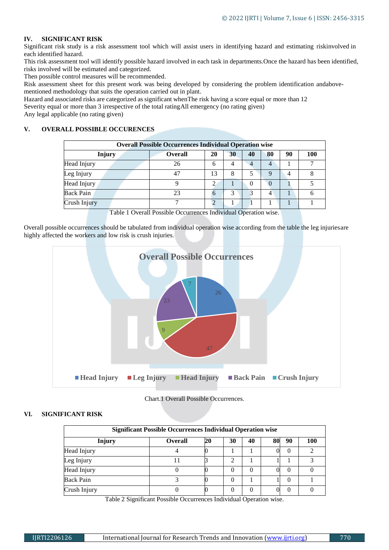# **IV. SIGNIFICANT RISK**

Significant risk study is a risk assessment tool which will assist users in identifying hazard and estimating riskinvolved in each identified hazard.

This risk assessment tool will identify possible hazard involved in each task in departments.Once the hazard has been identified, risks involved will be estimated and categorized.

Then possible control measures will be recommended.

Risk assessment sheet for this present work was being developed by considering the problem identification andabovementioned methodology that suits the operation carried out in plant.

Hazard and associated risks are categorized as significant whenThe risk having a score equal or more than 12

Severity equal or more than 3 irrespective of the total ratingAll emergency (no rating given)

Any legal applicable (no rating given)

## **V. OVERALL POSSIBLE OCCURENCES**

| <b>Overall Possible Occurrences Individual Operation wise</b> |                |    |    |          |    |    |     |  |  |  |  |
|---------------------------------------------------------------|----------------|----|----|----------|----|----|-----|--|--|--|--|
|                                                               |                |    |    |          |    |    |     |  |  |  |  |
| <b>Injury</b>                                                 | <b>Overall</b> | 20 | 30 | 40       | 80 | 90 | 100 |  |  |  |  |
| Head Injury                                                   | 26             | h  |    |          | 4  |    |     |  |  |  |  |
| Leg Injury                                                    | 47             | 13 |    |          |    |    |     |  |  |  |  |
| Head Injury                                                   |                |    |    | $\theta$ |    |    |     |  |  |  |  |
| <b>Back Pain</b>                                              | 23             |    |    | 3        |    |    |     |  |  |  |  |
| Crush Injury                                                  |                |    |    |          |    |    |     |  |  |  |  |

Table 1 Overall Possible Occurrences Individual Operation wise.

Overall possible occurrences should be tabulated from individual operation wise according from the table the leg injuriesare highly affected the workers and low risk is crush injuries.



Chart.1 Overall Possible Occurrences.

## **VI. SIGNIFICANT RISK**

| <b>Significant Possible Occurrences Individual Operation wise</b> |                |    |    |          |    |                  |     |  |  |  |
|-------------------------------------------------------------------|----------------|----|----|----------|----|------------------|-----|--|--|--|
| <b>Injury</b>                                                     | <b>Overall</b> | 20 | 30 | 40       | 80 | 90               | 100 |  |  |  |
| Head Injury                                                       |                |    |    |          |    | 0                |     |  |  |  |
| Leg Injury                                                        |                |    | っ  |          |    |                  |     |  |  |  |
| Head Injury                                                       |                |    | 0  | $\Omega$ |    | $\left( \right)$ |     |  |  |  |
| <b>Back Pain</b>                                                  |                |    | 0  |          |    | $\left( \right)$ |     |  |  |  |
| Crush Injury                                                      |                |    | 0  |          |    | $\left( \right)$ |     |  |  |  |

Table 2 Significant Possible Occurrences Individual Operation wise.